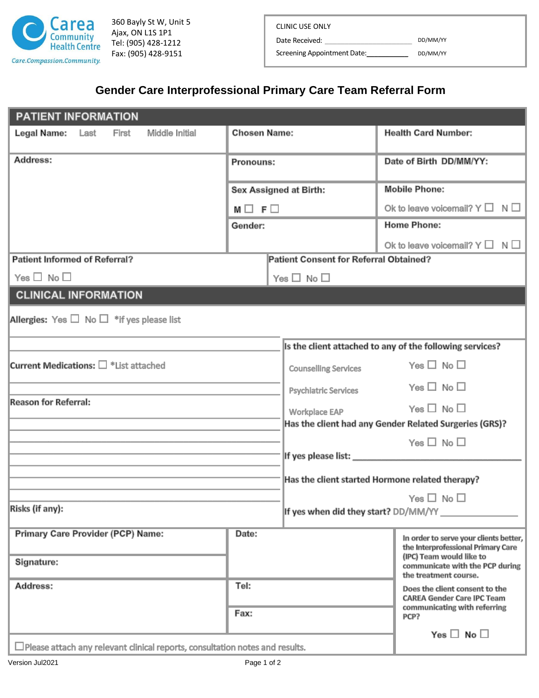

360 Bayly St W, Unit 5 Ajax, ON L1S 1P1 Tel: (905) 428-1212 Fax: (905) 428-9151

Date Received: \_\_\_\_

Screening Appointment Date:\_\_\_\_\_\_\_\_\_\_\_ DD/MM/YY

DD/MM/YY

## **Gender Care Interprofessional Primary Care Team Referral Form**

| <b>PATIENT INFORMATION</b>                                                          |                     |                                        |                                                                                                             |  |
|-------------------------------------------------------------------------------------|---------------------|----------------------------------------|-------------------------------------------------------------------------------------------------------------|--|
| Legal Name:<br>Last<br><b>Middle Initial</b><br>First                               | <b>Chosen Name:</b> |                                        | <b>Health Card Number:</b>                                                                                  |  |
| Address:                                                                            | Pronouns:           |                                        | Date of Birth DD/MM/YY:                                                                                     |  |
|                                                                                     |                     | <b>Sex Assigned at Birth:</b>          | <b>Mobile Phone:</b>                                                                                        |  |
|                                                                                     | $M \Box F \Box$     |                                        | Ok to leave voicemail? $Y \Box N \Box$                                                                      |  |
|                                                                                     | Gender:             |                                        | <b>Home Phone:</b>                                                                                          |  |
|                                                                                     |                     |                                        | Ok to leave voicemail? $Y \Box N \Box$                                                                      |  |
| <b>Patient Informed of Referral?</b>                                                |                     | Patient Consent for Referral Obtained? |                                                                                                             |  |
| Yes $\Box$ No $\Box$                                                                |                     | Yes $\Box$ No $\Box$                   |                                                                                                             |  |
| <b>CLINICAL INFORMATION</b>                                                         |                     |                                        |                                                                                                             |  |
| Allergies: Yes $\Box$ No $\Box$ * if yes please list                                |                     |                                        |                                                                                                             |  |
|                                                                                     |                     |                                        | Is the client attached to any of the following services?                                                    |  |
| Current Medications: $\square$ * List attached                                      |                     | <b>Counselling Services</b>            | Yes $\Box$ No $\Box$                                                                                        |  |
|                                                                                     |                     | <b>Psychiatric Services</b>            | Yes $\Box$ No $\Box$                                                                                        |  |
| <b>Reason for Referral:</b>                                                         |                     | <b>Workplace EAP</b>                   | Yes $\square$ No $\square$                                                                                  |  |
|                                                                                     |                     |                                        | Has the client had any Gender Related Surgeries (GRS)?                                                      |  |
|                                                                                     |                     |                                        | Yes $\square$ No $\square$                                                                                  |  |
|                                                                                     |                     |                                        |                                                                                                             |  |
|                                                                                     |                     |                                        | Has the client started Hormone related therapy?                                                             |  |
|                                                                                     |                     |                                        | Yes $\Box$ No $\Box$                                                                                        |  |
| Risks (if any):                                                                     |                     | If yes when did they start? DD/MM/YY   |                                                                                                             |  |
| <b>Primary Care Provider (PCP) Name:</b>                                            | Date:               |                                        | In order to serve your clients better,<br>the Interprofessional Primary Care<br>(IPC) Team would like to    |  |
| Signature:                                                                          |                     |                                        | communicate with the PCP during<br>the treatment course.                                                    |  |
| Address:                                                                            | Tel:<br>Fax:        |                                        | Does the client consent to the<br><b>CAREA Gender Care IPC Team</b><br>communicating with referring<br>PCP? |  |
|                                                                                     |                     |                                        | Yes $\Box$ No $\Box$                                                                                        |  |
| $\Box$ Please attach any relevant clinical reports, consultation notes and results. |                     |                                        |                                                                                                             |  |